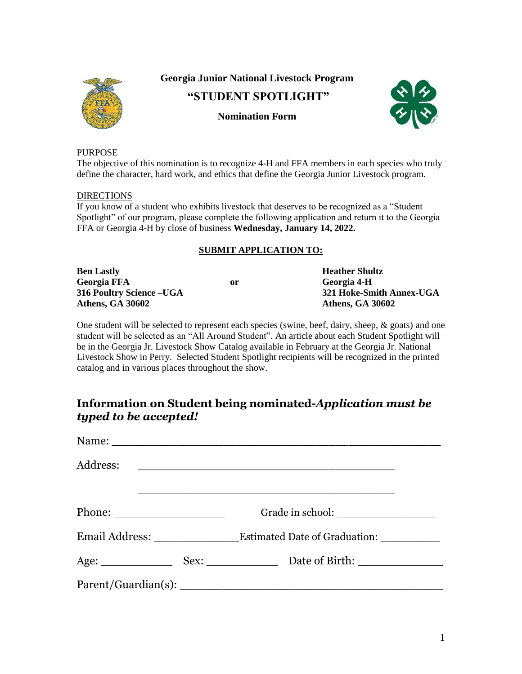

**Georgia Junior National Livestock Program**

**"STUDENT SPOTLIGHT"** 



### **Nomination Form**

#### PURPOSE

define the character, hard work, and ethics that define the Georgia Junior Livestock program. The objective of this nomination is to recognize 4-H and FFA members in each species who truly

#### DIRECTIONS

FFA or Georgia 4-H by close of business **Wednesday, January 14, 2022.** Spotlight" of our program, please complete the following application and return it to the Georgia If you know of a student who exhibits livestock that deserves to be recognized as a "Student

#### **SUBMIT APPLICATION TO:**

| <b>Ben Lastly</b>         |    | <b>Heather Shultz</b>    |
|---------------------------|----|--------------------------|
| <b>Georgia FFA</b>        | or | Georgia 4-H              |
| 316 Poultry Science – UGA |    | 321 Hoke-Smith Annex-UGA |
| <b>Athens, GA 30602</b>   |    | <b>Athens, GA 30602</b>  |

 Livestock Show in Perry. Selected Student Spotlight recipients will be recognized in the printed catalog and in various places throughout the show. be in the Georgia Jr. Livestock Show Catalog available in February at the Georgia Jr. National student will be selected as an "All Around Student". An article about each Student Spotlight will One student will be selected to represent each species (swine, beef, dairy, sheep, & goats) and one

### *typed to be accepted!* **Information on Student being nominated-***Application must be*

| Address:                                                                                                                                                                                                                                                                                                                                                                                                     |                                          |
|--------------------------------------------------------------------------------------------------------------------------------------------------------------------------------------------------------------------------------------------------------------------------------------------------------------------------------------------------------------------------------------------------------------|------------------------------------------|
|                                                                                                                                                                                                                                                                                                                                                                                                              |                                          |
| Phone: $\frac{1}{\sqrt{1-\frac{1}{2}}\sqrt{1-\frac{1}{2}}\sqrt{1-\frac{1}{2}}\sqrt{1-\frac{1}{2}}\sqrt{1-\frac{1}{2}}\sqrt{1-\frac{1}{2}}\sqrt{1-\frac{1}{2}}\sqrt{1-\frac{1}{2}}\sqrt{1-\frac{1}{2}}\sqrt{1-\frac{1}{2}}\sqrt{1-\frac{1}{2}}\sqrt{1-\frac{1}{2}}\sqrt{1-\frac{1}{2}}\sqrt{1-\frac{1}{2}}\sqrt{1-\frac{1}{2}}\sqrt{1-\frac{1}{2}}\sqrt{1-\frac{1}{2}}\sqrt{1-\frac{1}{2}}\sqrt{1-\frac{1}{2$ |                                          |
|                                                                                                                                                                                                                                                                                                                                                                                                              | Estimated Date of Graduation: __________ |
|                                                                                                                                                                                                                                                                                                                                                                                                              |                                          |
|                                                                                                                                                                                                                                                                                                                                                                                                              |                                          |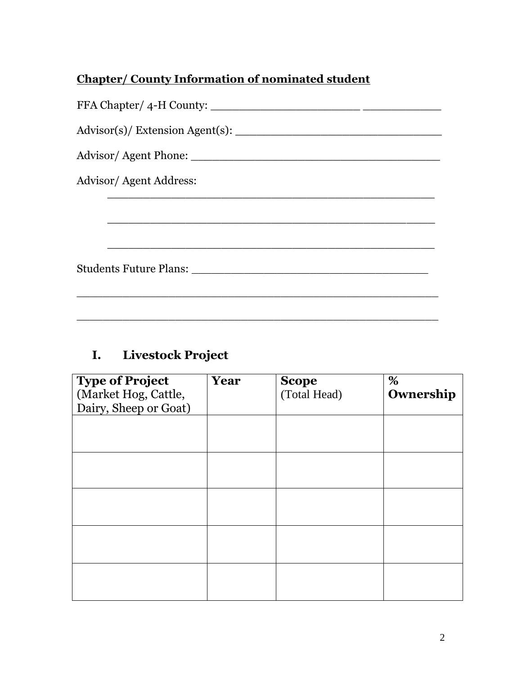## **Chapter/ County Information of nominated student**

| Advisor/Agent Address: |
|------------------------|
|                        |
|                        |
|                        |
|                        |

## **I. Livestock Project**

| <b>Type of Project</b><br>(Market Hog, Cattle,<br>Dairy, Sheep or Goat) | Year | <b>Scope</b><br>(Total Head) | %<br>Ownership |
|-------------------------------------------------------------------------|------|------------------------------|----------------|
|                                                                         |      |                              |                |
|                                                                         |      |                              |                |
|                                                                         |      |                              |                |
|                                                                         |      |                              |                |
|                                                                         |      |                              |                |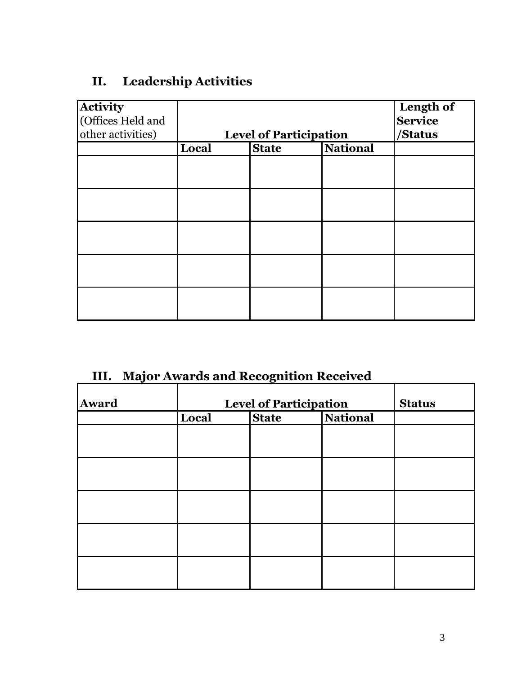# **II. Leadership Activities**

| <b>Activity</b><br>(Offices Held and |                               |                                 |  | Length of<br><b>Service</b> |
|--------------------------------------|-------------------------------|---------------------------------|--|-----------------------------|
| other activities)                    | <b>Level of Participation</b> |                                 |  | /Status                     |
|                                      | Local                         | <b>National</b><br><b>State</b> |  |                             |
|                                      |                               |                                 |  |                             |
|                                      |                               |                                 |  |                             |
|                                      |                               |                                 |  |                             |
|                                      |                               |                                 |  |                             |
|                                      |                               |                                 |  |                             |
|                                      |                               |                                 |  |                             |
|                                      |                               |                                 |  |                             |
|                                      |                               |                                 |  |                             |
|                                      |                               |                                 |  |                             |
|                                      |                               |                                 |  |                             |

# **III. Major Awards and Recognition Received**

| <b>Award</b> | <b>Level of Participation</b> |              |                 | <b>Status</b> |
|--------------|-------------------------------|--------------|-----------------|---------------|
|              | Local                         | <b>State</b> | <b>National</b> |               |
|              |                               |              |                 |               |
|              |                               |              |                 |               |
|              |                               |              |                 |               |
|              |                               |              |                 |               |
|              |                               |              |                 |               |
|              |                               |              |                 |               |
|              |                               |              |                 |               |
|              |                               |              |                 |               |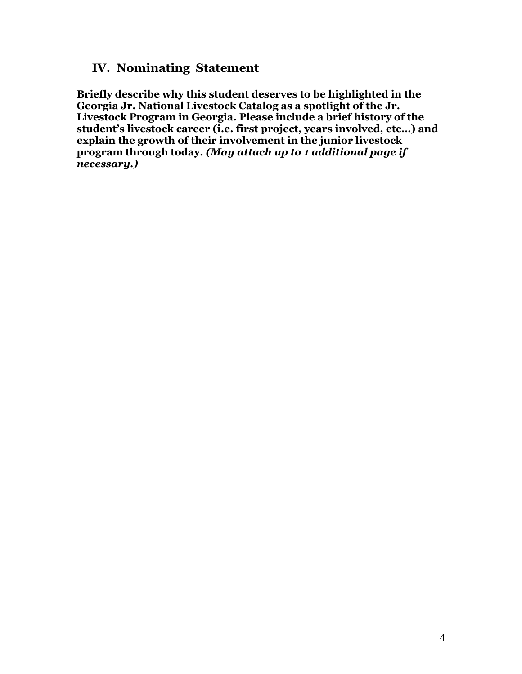### **IV. Nominating Statement**

**Briefly describe why this student deserves to be highlighted in the Georgia Jr. National Livestock Catalog as a spotlight of the Jr. Livestock Program in Georgia. Please include a brief history of the student's livestock career (i.e. first project, years involved, etc…) and explain the growth of their involvement in the junior livestock program through today.** *(May attach up to 1 additional page if necessary.)*